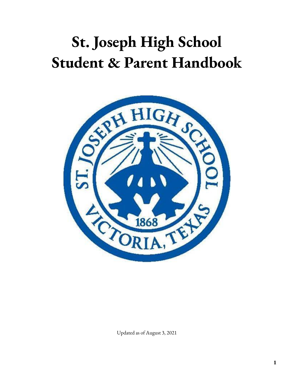# **St. Joseph High School Student & Parent Handbook**



Updated as of August 3, 2021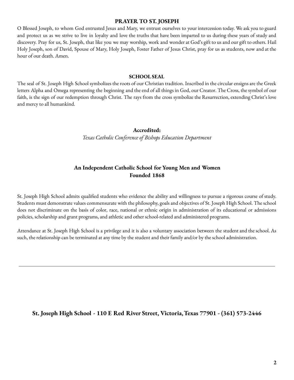#### **PRAYER TO ST. JOSEPH**

O Blessed Joseph, to whom God entrusted Jesus and Mary, we entrust ourselves to your intercession today. We ask you to guard and protect us as we strive to live in loyalty and love the truths that have been imparted to us during these years of study and discovery. Pray for us, St. Joseph, that like you we may worship, work and wonder at God's gift to us and our gift to others. Hail Holy Joseph, son of David, Spouse of Mary, Holy Joseph, Foster Father of Jesus Christ, pray for us as students, now and at the hour of our death. Amen.

#### **SCHOOL SEAL**

The seal of St. Joseph High School symbolizes the roots of our Christian tradition. Inscribed in the circular ensigns are the Greek letters Alpha and Omega representing the beginning and the end of all things in God, our Creator. The Cross, the symbol of our faith, is the sign of our redemption through Christ. The rays from the cross symbolize the Resurrection, extending Christ's love and mercy to all humankind.

#### **Accredited:**

*Texas Catholic Conference of Bishops Education Department*

# **An Independent Catholic School for Young Men and Women Founded 1868**

St. Joseph High School admits qualified students who evidence the ability and willingness to pursue a rigorous course of study. Students must demonstrate values commensurate with the philosophy, goals and objectives of St. Joseph High School. The school does not discriminate on the basis of color, race, national or ethnic origin in administration of its educational or admissions policies, scholarship and grant programs, and athletic and other school-related and administered programs.

Attendance at St. Joseph High School is a privilege and it is also a voluntary association between the student and the school. As such, the relationship can be terminated at any time by the student and their family and/or by the school administration.

**St. Joseph High School - 110 E Red River Street, Victoria,Texas 77901 - (361) 573-2446**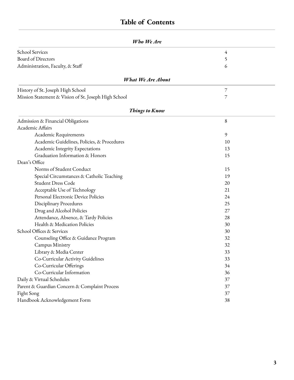# **Table of Contents**

| Who We Are                                           |                |  |
|------------------------------------------------------|----------------|--|
| <b>School Services</b>                               | 4              |  |
| Board of Directors                                   | 5              |  |
| Administration, Faculty, & Staff                     | 6              |  |
| <b>What We Are About</b>                             |                |  |
| History of St. Joseph High School                    | $\overline{7}$ |  |
| Mission Statement & Vision of St. Joseph High School | 7              |  |
| <b>Things to Know</b>                                |                |  |
| Admission & Financial Obligations                    | 8              |  |
| Academic Affairs                                     |                |  |
| Academic Requirements                                | 9              |  |
| Academic Guidelines, Policies, & Procedures          | 10             |  |
| Academic Integrity Expectations                      | 13             |  |
| Graduation Information & Honors                      | 15             |  |
| Dean's Office                                        |                |  |
| Norms of Student Conduct                             | 15             |  |
| Special Circumstances & Catholic Teaching            | 19             |  |
| <b>Student Dress Code</b>                            | 20             |  |
| Acceptable Use of Technology                         | 21             |  |
| Personal Electronic Device Policies                  | 24             |  |
| <b>Disciplinary Procedures</b>                       | 25             |  |
| Drug and Alcohol Policies                            | 27             |  |
| Attendance, Absence, & Tardy Policies                | 28             |  |
| Health & Medication Policies                         | 30             |  |
| School Offices & Services                            | 30             |  |
| Counseling Office & Guidance Program                 | 32             |  |
| Campus Ministry                                      | 32             |  |
| Library & Media Center                               | 33             |  |
| Co-Curricular Activity Guidelines                    | 33             |  |
| Co-Curricular Offerings                              | 34             |  |
| Co-Curricular Information                            | 36             |  |
| Daily & Virtual Schedules                            | 37             |  |
| Parent & Guardian Concern & Complaint Process        | 37             |  |
| Fight Song                                           | 37             |  |
| Handbook Acknowledgement Form                        | 38             |  |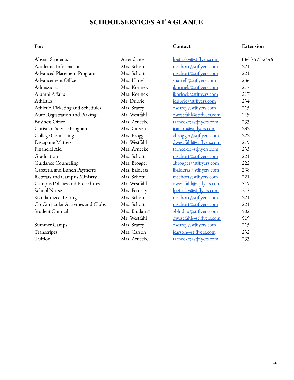# **SCHOOL SERVICES AT A GLANCE**

| For:                               |               | Contact                 | Extension          |
|------------------------------------|---------------|-------------------------|--------------------|
| <b>Absent Students</b>             | Attendance    | lpetrisky@stjflyers.com | $(361) 573 - 2446$ |
| Academic Information               | Mrs. Schott   | mschott@stjflyers.com   | 221                |
| <b>Advanced Placement Program</b>  | Mrs. Schott   | mschott@stjflyers.com   | 221                |
| Advancement Office                 | Mrs. Harrell  | sharrell@stjflyers.com  | 236                |
| Admissions                         | Mrs. Korinek  | jkorinek@stjflyers.com  | 217                |
| Alumni Affairs                     | Mrs. Korinek  | jkorinek@stjflyers.com  | 217                |
| Athletics                          | Mr. Duprie    | jduprie@stjflyers.com   | 234                |
| Athletic Ticketing and Schedules   | Mrs. Searcy   | dsearcy@stjflyers.com   | 215                |
| Auto Registration and Parking      | Mr. Westfahl  | dwestfahl@stjflyers.com | 219                |
| <b>Business Office</b>             | Mrs. Arnecke  | tarnecke@stjflyers.com  | 233                |
| Christian Service Program          | Mrs. Carson   | jcarson@stjflyers.com   | 232                |
| College Counseling                 | Mrs. Brogger  | abrogger@stjflyers.com  | 222                |
| Discipline Matters                 | Mr. Westfahl  | dwestfahl@stjflyers.com | 219                |
| Financial Aid                      | Mrs. Arnecke  | tarnecke@stjflyers.com  | 233                |
| Graduation                         | Mrs. Schott   | mschott@stjflyers.com   | 221                |
| Guidance Counseling                | Mrs. Brogger  | abrogger@stjflyers.com  | 222                |
| Cafeteria and Lunch Payments       | Mrs. Balderaz | lbalderaz@stiflyers.com | 238                |
| Retreats and Campus Ministry       | Mrs. Schott   | mschott@stjflyers.com   | 221                |
| Campus Policies and Procedures     | Mr. Westfahl  | dwestfahl@stjflyers.com | 519                |
| <b>School Nurse</b>                | Mrs. Petrisky | lpetrisky@stjflyers.com | 213                |
| <b>Standardized Testing</b>        | Mrs. Schott   | mschott@stjflyers.com   | 22.1               |
| Co-Curricular Activities and Clubs | Mrs. Schott   | mschott@stjflyers.com   | 221                |
| <b>Student Council</b>             | Mrs. Bludau & | gbludau@stjflyers.com   | 502                |
|                                    | Mr. Westfahl  | dwestfahl@stjflyers.com | 519                |
| Summer Camps                       | Mrs. Searcy   | dsearcy@stjflyers.com   | 215                |
| Transcripts                        | Mrs. Carson   | jcarson@stjflyers.com   | 232                |
| Tuition                            | Mrs. Arnecke  | tarnecke@stjflyers.com  | 233                |
|                                    |               |                         |                    |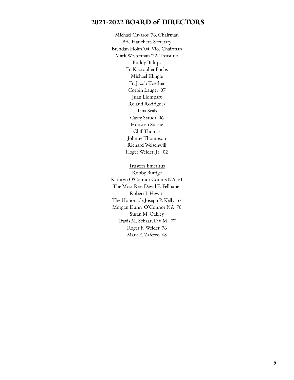# **2021-2022 BOARD of DIRECTORS**

Michael Cavazos '76, Chairman Brie Hanchett, Secretary Brendan Holm '04, Vice Chairman Mark Westerman '72, Treasurer Buddy Billups Fr. Kristopher Fuchs Michael Klingle Fr. Jacob Koether Corbin Lauger '07 Juan Llompart Roland Rodriguez Tina Seals Casey Staudt '06 Houston Sterne Cliff Thomas Johnny Thompson Richard Weischwill Roger Welder, Jr. '02

Trustees Emeritus Robby Burdge Kathryn O'Connor Counts NA '61 The Most Rev. David E. Fellhauer Robert J. Hewitt The Honorable Joseph P. Kelly '57 Morgan Dunn O'Connor NA '70 Susan M. Oakley Travis M. Schaar, D.V.M. '77 Roger F. Welder '76 Mark E. Zafereo '68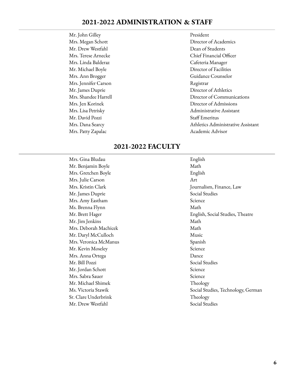# **2021-2022 ADMINISTRATION & STAFF**

Mr. John Gilley President Mr. Drew Westfahl Dean of Students Mrs. Linda Balderaz Cafeteria Manager Mr. Michael Boyle **Director of Facilities** Mrs. Jennifer Carson Registrar Mr. David Pozzi Staff Emeritus

# Mrs. Megan Schott **Director of Academics** Mrs. Terese Arnecke Chief Financial Officer Mrs. Ann Brogger Guidance Counselor Mr. James Duprie Director of Athletics Mrs. Shandee Harrell Director of Communications Mrs. Jen Korinek Director of Admissions Mrs. Lisa Petrisky Administrative Assistant Mrs. Dana Searcy Athletics Administrative Assistant Mrs. Patty Zapalac Academic Advisor

# **2021-2022 FACULTY**

Mrs. Gina Bludau **English** Mr. Benjamin Boyle Math Mrs. Gretchen Boyle English Mrs. Julie Carson Art Mr. James Duprie Social Studies Mrs. Amy Eastham Science Ms. Brenna Flynn Math Mr. Jim Jenkins Math Mrs. Deborah Machicek Math Mr. Daryl McCulloch Music Mrs. Veronica McManus Spanish Mr. Kevin Moseley Science Mrs. Anna Ortega Dance Mr. Bill Pozzi Social Studies Mr. Jordan Schott Science Mrs. Sabra Sauer Science Mr. Michael Shimek Theology Sr. Clare Underbrink Theology Mr. Drew Westfahl Social Studies

Mrs. Kristin Clark Journalism, Finance, Law Mr. Brett Hager English, Social Studies, Theatre Ms. Victoria Stawik and States of Social Studies, Technology, German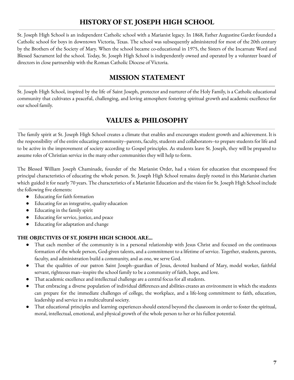# **HISTORY OF ST. JOSEPH HIGH SCHOOL**

St. Joseph High School is an independent Catholic school with a Marianist legacy. In 1868, Father Augustine Gardet founded a Catholic school for boys in downtown Victoria, Texas. The school was subsequently administered for most of the 20th century by the Brothers of the Society of Mary. When the school became co-educational in 1975, the Sisters of the Incarnate Word and Blessed Sacrament led the school. Today, St. Joseph High School is independently owned and operated by a volunteer board of directors in close partnership with the Roman Catholic Diocese of Victoria.

# **MISSION STATEMENT**

St. Joseph High School, inspired by the life of Saint Joseph, protector and nurturer of the Holy Family, is a Catholic educational community that cultivates a peaceful, challenging, and loving atmosphere fostering spiritual growth and academic excellence for our school family.

# **VALUES & PHILOSOPHY**

The family spirit at St. Joseph High School creates a climate that enables and encourages student growth and achievement. It is the responsibility of the entire educating community--parents, faculty, students and collaborators--to prepare students for life and to be active in the improvement of society according to Gospel principles. As students leave St. Joseph, they will be prepared to assume roles of Christian service in the many other communities they will help to form.

The Blessed William Joseph Chaminade, founder of the Marianist Order, had a vision for education that encompassed five principal characteristics of educating the whole person. St. Joseph High School remains deeply rooted in this Marianist charism which guided it for nearly 70 years. The characteristics of a Marianist Education and the vision for St. Joseph High School include the following five elements:

- Educating for faith formation
- Educating for an integrative, quality education
- Educating in the family spirit
- Educating for service, justice, and peace
- Educating for adaptation and change

# **THE OBJECTIVES OF ST. JOSEPH HIGH SCHOOL ARE...**

- That each member of the community is in a personal relationship with Jesus Christ and focused on the continuous formation of the whole person, God-given talents, and a commitment to a lifetime of service. Together, students, parents, faculty, and administration build a community, and as one, we serve God.
- That the qualities of our patron Saint Joseph--guardian of Jesus, devoted husband of Mary, model worker, faithful servant, righteous man--inspire the school family to be a community of faith, hope, and love.
- That academic excellence and intellectual challenge are a central focus for all students.
- That embracing a diverse population of individual differences and abilities creates an environment in which the students can prepare for the immediate challenges of college, the workplace, and a life-long commitment to faith, education, leadership and service in a multicultural society.
- That educational principles and learning experiences should extend beyond the classroom in order to foster the spiritual, moral, intellectual, emotional, and physical growth of the whole person to her or his fullest potential.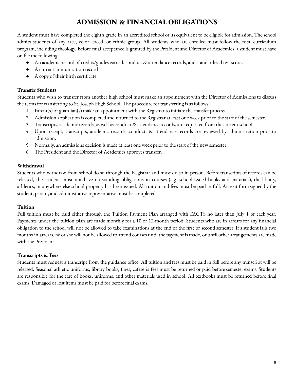# **ADMISSION & FINANCIAL OBLIGATIONS**

A student must have completed the eighth grade in an accredited school or its equivalent to be eligible for admission. The school admits students of any race, color, creed, or ethnic group. All students who are enrolled must follow the total curriculum program, including theology. Before final acceptance is granted by the President and Director of Academics, a student must have on file the following:

- An academic record of credits/grades earned, conduct & attendance records, and standardized test scores
- A current immunization record
- A copy of their birth certificate

#### **Transfer Students**

Students who wish to transfer from another high school must make an appointment with the Director of Admissions to discuss the terms for transferring to St. Joseph High School. The procedure for transferring is as follows:

- 1. Parent(s) or guardian(s) make an appointment with the Registrar to initiate the transfer process.
- 2. Admission application is completed and returned to the Registrar at least one week prior to the start of the semester.
- 3. Transcripts, academic records, as well as conduct & attendance records, are requested from the current school.
- 4. Upon receipt, transcripts, academic records, conduct, & attendance records are reviewed by administration prior to admission.
- 5. Normally, an admissions decision is made at least one week prior to the start of the new semester.
- 6. The President and the Director of Academics approves transfer.

#### **Withdrawal**

Students who withdraw from school do so through the Registrar and must do so in person. Before transcripts of records can be released, the student must not have outstanding obligations in courses (e.g. school issued books and materials), the library, athletics, or anywhere else school property has been issued. All tuition and fees must be paid in full. An exit form signed by the student, parent, and administrative representative must be completed.

#### **Tuition**

Full tuition must be paid either through the Tuition Payment Plan arranged with FACTS no later than July 1 of each year. Payments under the tuition plan are made monthly for a 10 or 12-month period. Students who are in arrears for any financial obligation to the school will not be allowed to take examinations at the end of the first or second semester. If a student falls two months in arrears, he or she will not be allowed to attend courses until the payment is made, or until other arrangements are made with the President.

#### **Transcripts & Fees**

Students must request a transcript from the guidance office. All tuition and fees must be paid in full before any transcript will be released. Seasonal athletic uniforms, library books, fines, cafeteria fees must be returned or paid before semester exams. Students are responsible for the care of books, uniforms, and other materials used in school. All textbooks must be returned before final exams. Damaged or lost items must be paid for before final exams.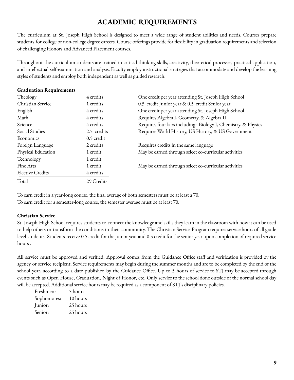# **ACADEMIC REQUIREMENTS**

The curriculum at St. Joseph High School is designed to meet a wide range of student abilities and needs. Courses prepare students for college or non-college degree careers. Course offerings provide for flexibility in graduation requirements and selection of challenging Honors and Advanced Placement courses.

Throughout the curriculum students are trained in critical thinking skills, creativity, theoretical processes, practical application, and intellectual self-examination and analysis. Faculty employ instructional strategies that accommodate and develop the learning styles of students and employ both independent as well as guided research.

#### **Graduation Requirements**

| Theology                | 4 credits   | One credit per year attending St. Joseph High School          |
|-------------------------|-------------|---------------------------------------------------------------|
| Christian Service       | 1 credits   | 0.5 credit Junior year & 0.5 credit Senior year               |
| English                 | 4 credits   | One credit per year attending St. Joseph High School          |
| Math                    | 4 credits   | Requires Algebra I, Geometry, & Algebra II                    |
| Science                 | 4 credits   | Requires four labs including: Biology I, Chemistry, & Physics |
| Social Studies          | 2.5 credits | Requires World History, US History, & US Government           |
| Economics               | 0.5 credit  |                                                               |
| Foreign Language        | 2 credits   | Requires credits in the same language                         |
| Physical Education      | 1 credit    | May be earned through select co-curricular activities         |
| Technology              | 1 credit    |                                                               |
| Fine Arts               | 1 credit    | May be earned through select co-curricular activities         |
| <b>Elective Credits</b> | 4 credits   |                                                               |
| Total                   | 29 Credits  |                                                               |

To earn credit in a year-long course, the final average of both semesters must be at least a 70. To earn credit for a semester-long course, the semester average must be at least 70.

#### **Christian Service**

St. Joseph High School requires students to connect the knowledge and skills they learn in the classroom with how it can be used to help others or transform the conditions in their community. The Christian Service Program requires service hours of all grade level students. Students receive 0.5 credit for the junior year and 0.5 credit for the senior year upon completion of required service hours .

All service must be approved and verified. Approval comes from the Guidance Office staff and verification is provided by the agency or service recipient. Service requirements may begin during the summer months and are to be completed by the end of the school year, according to a date published by the Guidance Office. Up to 5 hours of service to STJ may be accepted through events such as Open House, Graduation, Night of Honor, etc. Only service to the school done outside of the normal school day will be accepted. Additional service hours may be required as a component of STJ's disciplinary policies.

| Freshmen:   | 5 hours  |
|-------------|----------|
| Sophomores: | 10 hours |
| Junior:     | 25 hours |
| Senior:     | 25 hours |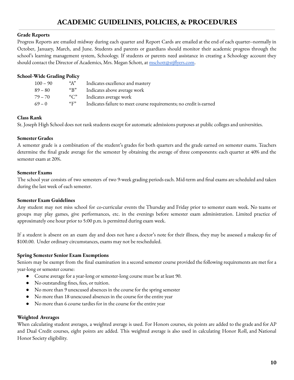# **ACADEMIC GUIDELINES, POLICIES, & PROCEDURES**

#### **Grade Reports**

Progress Reports are emailed midway during each quarter and Report Cards are emailed at the end of each quarter--normally in October, January, March, and June. Students and parents or guardians should monitor their academic progress through the school's learning management system, Schoology. If students or parents need assistance in creating a Schoology account they should contact the Director of Academics, Mrs. Megan Schott, at [mschott@stjflyers.com](mailto:mschott@stjflyers.com).

#### **School-Wide Grading Policy**

| $100 - 90$ | $A^{\prime\prime}$     | Indicates excellence and mastery                                   |
|------------|------------------------|--------------------------------------------------------------------|
| 89 – 80    | " $B"$                 | Indicates above average work                                       |
| 79 – 70    | " $C$ "                | Indicates average work                                             |
| $69 - 0$   | ${}^{\alpha}$ $\rm{F}$ | Indicates failure to meet course requirements; no credit is earned |

#### **Class Rank**

St. Joseph High School does not rank students except for automatic admissions purposes at public colleges and universities.

#### **Semester Grades**

A semester grade is a combination of the student's grades for both quarters and the grade earned on semester exams. Teachers determine the final grade average for the semester by obtaining the average of three components: each quarter at 40% and the semester exam at 20%.

#### **Semester Exams**

The school year consists of two semesters of two 9-week grading periods each. Mid-term and final exams are scheduled and taken during the last week of each semester.

#### **Semester Exam Guidelines**

Any student may not miss school for co-curricular events the Thursday and Friday prior to semester exam week. No teams or groups may play games, give performances, etc. in the evenings before semester exam administration. Limited practice of approximately one hour prior to 5:00 p.m. is permitted during exam week.

If a student is absent on an exam day and does not have a doctor's note for their illness, they may be assessed a makeup fee of \$100.00. Under ordinary circumstances, exams may not be rescheduled.

#### **Spring Semester Senior Exam Exemptions**

Seniors may be exempt from the final examination in a second semester course provided the following requirements are met for a year-long or semester course:

- Course average for a year-long or semester-long course must be at least 90.
- No outstanding fines, fees, or tuition.
- No more than 9 unexcused absences in the course for the spring semester
- No more than 18 unexcused absences in the course for the entire year
- No more than 6 course tardies for in the course for the entire year

#### **Weighted Averages**

When calculating student averages, a weighted average is used. For Honors courses, six points are added to the grade and for AP and Dual Credit courses, eight points are added. This weighted average is also used in calculating Honor Roll, and National Honor Society eligibility.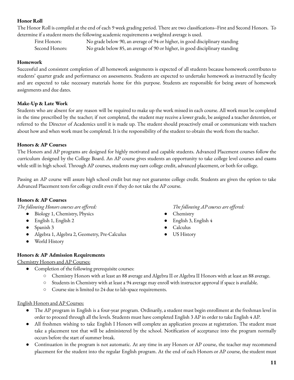# **Honor Roll**

The Honor Roll is compiled at the end of each 9 week grading period. There are two classifications--First and Second Honors. To determine if a student meets the following academic requirements a weighted average is used.

First Honors: No grade below 90, an average of 94 or higher, in good disciplinary standing Second Honors: No grade below 85, an average of 90 or higher, in good disciplinary standing

#### **Homework**

Successful and consistent completion of all homework assignments is expected of all students because homework contributes to students' quarter grade and performance on assessments. Students are expected to undertake homework as instructed by faculty and are expected to take necessary materials home for this purpose. Students are responsible for being aware of homework assignments and due dates.

#### **Make-Up & Late Work**

Students who are absent for any reason will be required to make up the work missed in each course. All work must be completed in the time prescribed by the teacher; if not completed, the student may receive a lower grade, be assigned a teacher detention, or referred to the Director of Academics until it is made up. The student should proactively email or communicate with teachers about how and when work must be completed. It is the responsibility of the student to obtain the work from the teacher.

#### **Honors & AP Courses**

The Honors and AP programs are designed for highly motivated and capable students. Advanced Placement courses follow the curriculum designed by the College Board. An AP course gives students an opportunity to take college level courses and exams while still in high school. Through AP courses, students may earn college credit, advanced placement, or both for college.

Passing an AP course will assure high school credit but may not guarantee college credit. Students are given the option to take Advanced Placement tests for college credit even if they do not take the AP course.

#### **Honors & AP Courses**

*The following Honors courses are offered:*

- Biology 1, Chemistry, Physics
- English 1, English 2
- Spanish 3
- Algebra 1, Algebra 2, Geometry, Pre-Calculus
- World History

#### **Honors & AP Admission Requirements**

Chemistry Honors and AP Courses:

- Completion of the following prerequisite courses:
	- Chemistry Honors with at least an 88 average and Algebra II or Algebra II Honors with at least an 88 average.
	- Students in Chemistry with at least a 94 average may enroll with instructor approval if space is available.
	- Course size is limited to 24 due to lab space requirements.

#### English Honors and AP Courses:

- The AP program in English is a four-year program. Ordinarily, a student must begin enrollment at the freshman level in order to proceed through all the levels. Students must have completed English 3 AP in order to take English 4 AP.
- All freshmen wishing to take English I Honors will complete an application process at registration. The student must take a placement test that will be administered by the school. Notification of acceptance into the program normally occurs before the start of summer break.
- Continuation in the program is not automatic. At any time in any Honors or AP course, the teacher may recommend placement for the student into the regular English program. At the end of each Honors or AP course, the student must

*The following AP courses are offered:*

- Chemistry
- English 3, English 4
- Calculus
- US History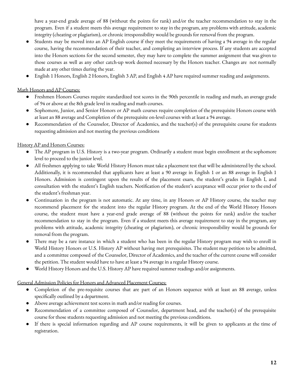have a year-end grade average of 88 (without the points for rank) and/or the teacher recommendation to stay in the program. Even if a student meets this average requirement to stay in the program, any problems with attitude, academic integrity (cheating or plagiarism), or chronic irresponsibility would be grounds for removal from the program.

- Students may be moved into an AP English course if they meet the requirements of having a 94 average in the regular course, having the recommendation of their teacher, and completing an interview process. If any students are accepted into the Honors sections for the second semester, they may have to complete the summer assignment that was given to those courses as well as any other catch-up work deemed necessary by the Honors teacher. Changes are not normally made at any other times during the year.
- English 1 Honors, English 2 Honors, English 3 AP, and English 4 AP have required summer reading and assignments.

### Math Honors and AP Courses:

- Freshmen Honors Courses require standardized test scores in the 90th percentile in reading and math, an average grade of 94 or above at the 8th grade level in reading and math courses.
- Sophomore, Junior, and Senior Honors or AP math courses require completion of the prerequisite Honors course with at least an 88 average and Completion of the prerequisite on-level courses with at least a 94 average.
- Recommendation of the Counselor, Director of Academics, and the teacher(s) of the prerequisite course for students requesting admission and not meeting the previous conditions

### History AP and Honors Courses:

- The AP program in U.S. History is a two-year program. Ordinarily a student must begin enrollment at the sophomore level to proceed to the junior level.
- All freshmen applying to take World History Honors must take a placement test that will be administered by the school. Additionally, it is recommended that applicants have at least a 90 average in English 1 or an 88 average in English 1 Honors. Admission is contingent upon the results of the placement exam, the student's grades in English I, and consultation with the student's English teachers. Notification of the student's acceptance will occur prior to the end of the student's freshman year.
- Continuation in the program is not automatic. At any time, in any Honors or AP History course, the teacher may recommend placement for the student into the regular History program. At the end of the World History Honors course, the student must have a year-end grade average of 88 (without the points for rank) and/or the teacher recommendation to stay in the program. Even if a student meets this average requirement to stay in the program, any problems with attitude, academic integrity (cheating or plagiarism), or chronic irresponsibility would be grounds for removal from the program.
- There may be a rare instance in which a student who has been in the regular History program may wish to enroll in World History Honors or U.S. History AP without having met prerequisites. The student may petition to be admitted, and a committee composed of the Counselor, Director of Academics, and the teacher of the current course will consider the petition. The student would have to have at least a 94 average in a regular History course.
- World History Honors and the U.S. History AP have required summer readings and/or assignments.

#### General Admission Policies for Honors and Advanced Placement Courses:

- Completion of the pre-requisite courses that are part of an Honors sequence with at least an 88 average, unless specifically outlined by a department.
- Above average achievement test scores in math and/or reading for courses.
- Recommendation of a committee composed of Counselor, department head, and the teacher(s) of the prerequisite course for those students requesting admission and not meeting the previous conditions.
- If there is special information regarding and AP course requirements, it will be given to applicants at the time of registration.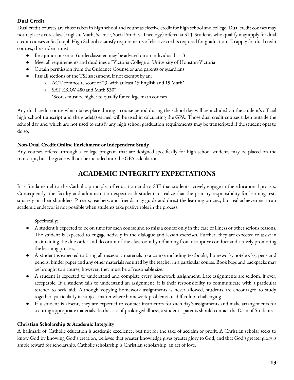# **Dual Credit**

Dual credit courses are those taken in high school and count as elective credit for high school and college. Dual credit courses may not replace a core class (English, Math, Science, Social Studies, Theology) offered at STJ. Students who qualify may apply for dual credit courses at St. Joseph High School to satisfy requirements of elective credits required for graduation. To apply for dual credit courses, the student must:

- Be a junior or senior (underclassmen may be advised on an individual basis)
- Meet all requirements and deadlines of Victoria College or University of Houston-Victoria
- Obtain permission from the Guidance Counselor and parents or guardians
- Pass all sections of the TSI assessment, if not exempt by an:
	- ACT composite score of 23, with at least 19 English and 19 Math\*
	- SAT EBRW 480 and Math 530\*

\*Scores must be higher to qualify for college math courses

Any dual credit course which takes place during a course period during the school day will be included on the student's official high school transcript and the grade(s) earned will be used in calculating the GPA. Those dual credit courses taken outside the school day and which are not used to satisfy any high school graduation requirements may be transcripted if the student opts to do so.

# **Non-Dual Credit Online Enrichment or Independent Study**

Any courses offered through a college program that are designed specifically for high school students may be placed on the transcript, but the grade will not be included into the GPA calculation.

# **ACADEMIC INTEGRITYEXPECTATIONS**

It is fundamental to the Catholic principles of education and to STJ that students actively engage in the educational process. Consequently, the faculty and administration expect each student to realize that the primary responsibility for learning rests squarely on their shoulders. Parents, teachers, and friends may guide and direct the learning process, but real achievement in an academic endeavor is not possible when students take passive roles in the process.

Specifically:

- A student is expected to be on time for each course and to miss a course only in the case of illness or other serious reasons. The student is expected to engage actively in the dialogue and lesson exercises. Further, they are expected to assist in maintaining the due order and decorum of the classroom by refraining from disruptive conduct and actively promoting the learning process.
- A student is expected to bring all necessary materials to a course including textbooks, homework, notebooks, pens and pencils, binder paper and any other materials required by the teacher in a particular course. Book bags and backpacks may be brought to a course; however, they must be of reasonable size.
- A student is expected to understand and complete every homework assignment. Late assignments are seldom, if ever, acceptable. If a student fails to understand an assignment, it is their responsibility to communicate with a particular teacher to seek aid. Although copying homework assignments is never allowed, students are encouraged to study together, particularly in subject matter where homework problems are difficult or challenging.
- If a student is absent, they are expected to contact instructors for each day's assignments and make arrangements for securing appropriate materials. In the case of prolonged illness, a student's parents should contact the Dean of Students.

# **Christian Scholarship & Academic Integrity**

A hallmark of Catholic education is academic excellence, but not for the sake of acclaim or profit. A Christian scholar seeks to know God by knowing God's creation, believes that greater knowledge gives greater glory to God, and that God's greater glory is ample reward for scholarship. Catholic scholarship is Christian scholarship, an act of love.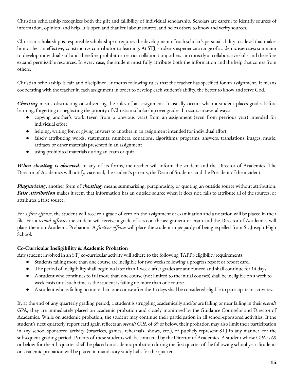Christian scholarship recognizes both the gift and fallibility of individual scholarship. Scholars are careful to identify sources of information, opinion, and help. It is open and thankful about sources, and helps others to know and verify sources.

Christian scholarship is responsible scholarship: it requires the development of each scholar's personal ability to a level that makes him or her an effective, constructive contributor to learning. At STJ, students experience a range of academic exercises: some aim to develop individual skill and therefore prohibit or restrict collaboration; others aim directly at collaborative skills and therefore expand permissible resources. In every case, the student must fully attribute both the information and the help that comes from others.

Christian scholarship is fair and disciplined. It means following rules that the teacher has specified for an assignment. It means cooperating with the teacher in each assignment in order to develop each student's ability, the better to know and serve God.

*Cheating* means obstructing or subverting the rules of an assignment. It usually occurs when a student places grades before learning, forgetting or neglecting the priority of Christian scholarship over grades. It occurs in several ways:

- copying another's work (even from a previous year) from an assignment (even from previous year) intended for individual effort
- helping, writing for, or giving answers to another in an assignment intended for individual effort
- falsely attributing words, statements, numbers, equations, algorithms, programs, answers, translations, images, music, artifacts or other materials presented in an assignment
- using prohibited materials during an exam or quiz

*When cheating is observed*, in any of its forms, the teacher will inform the student and the Director of Academics. The Director of Academics will notify, via email, the student's parents, the Dean of Students, and the President of the incident.

*Plagiarizing*, another form of *cheating*, means summarizing, paraphrasing, or quoting an outside source without attribution. *False attribution* makes it seem that information has an outside source when it does not, fails to attribute all of the sources, or attributes a false source.

For a *first offense*, the student will receive a grade of zero on the assignment or examination and a notation will be placed in their file. For a *second offense*, the student will receive a grade of zero on the assignment or exam and the Director of Academics will place them on Academic Probation. A *further offense* will place the student in jeopardy of being expelled from St. Joseph High School.

# **Co-Curricular Ineligibility & Academic Probation**

Any student involved in an STJ co-curricular activity will adhere to the following TAPPS eligibility requirements:

- Students failing more than one course are ineligible for two weeks following a progress report or report card.
- The period of ineligibility shall begin no later than 1 week after grades are announced and shall continue for 14 days.
- A student who continues to fail more than one course (not limited to the initial courses) shall be ineligible on a week to week basis until such time as the student is failing no more than one course.
- A student who is failing no more than one course after the 14 days shall be considered eligible to participate in activities.

If, at the end of any quarterly grading period, a student is struggling academically and/or are failing or near failing in their *overall* GPA, they are immediately placed on academic probation and closely monitored by the Guidance Counselor and Director of Academics. While on academic probation, the student may continue their participation in all school-sponsored activities. If the student's next quarterly report card again reflects an *overall* GPA of 69 or below, their probation may also limit their participation in any school-sponsored activity (practices, games, rehearsals, shows, etc.), or publicly represent STJ in any manner, for the subsequent grading period. Parents of these students will be contacted by the Director of Academics. A student whose GPA is 69 or below for the 4th quarter shall be placed on academic probation during the first quarter of the following school year. Students on academic probation will be placed in mandatory study halls for the quarter.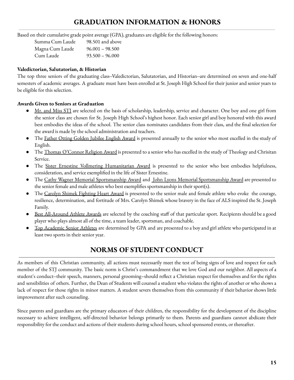# **GRADUATION INFORMATION & HONORS**

Based on their cumulative grade point average (GPA), graduates are eligible for the following honors:

| Summa Cum Laude | 98.501 and above  |
|-----------------|-------------------|
| Magna Cum Laude | $96.001 - 98.500$ |
| Cum Laude       | $93.500 - 96.000$ |

### **Valedictorian, Salutatorian, & Historian**

The top three seniors of the graduating class--Valedictorian, Salutatorian, and Historian--are determined on seven and one-half semesters of academic averages. A graduate must have been enrolled at St. Joseph High School for their junior and senior years to be eligible for this selection.

# **Awards Given to Seniors at Graduation**

- Mr. and Miss STI are selected on the basis of scholarship, leadership, service and character. One boy and one girl from the senior class are chosen for St. Joseph High School's highest honor. Each senior girl and boy honored with this award best embodies the ideas of the school. The senior class nominates candidates from their class, and the final selection for the award is made by the school administration and teachers.
- **•** The Father Otting Golden Jubilee English Award is presented annually to the senior who most excelled in the study of English.
- The <u>Thomas O'Connor Religion Award</u> is presented to a senior who has excelled in the study of Theology and Chrisitan Service.
- The Sister Ernestine Vollmering Humanitarian Award is presented to the senior who best embodies helpfulness, consideration, and service exemplified in the life of Sister Ernestine.
- The Cathy Wagner Memorial Sportsmanship Award and John Lyons Memorial Sportsmanship Award are presented to the senior female and male athletes who best exemplifies sportsmanship in their sport(s).
- The Carolyn Shimek Fighting Heart Award is presented to the senior male and female athlete who evoke the courage, resilience, determination, and fortitude of Mrs. Carolyn Shimek whose bravery in the face of ALS inspired the St. Joseph Family.
- Best All-Around Athlete Awards are selected by the coaching staff of that particular sport. Recipients should be a good player who plays almost all of the time, a team leader, sportsman, and coachable.
- Top Academic Senior Athletes are determined by GPA and are presented to a boy and girl athlete who participated in at least two sports in their senior year.

# **NORMS OF STUDENT CONDUCT**

As members of this Christian community, all actions must necessarily meet the test of being signs of love and respect for each member of the STJ community. The basic norm is Christ's commandment that we love God and our neighbor. All aspects of a student's conduct--their speech, manners, personal grooming–should reflect a Christian respect for themselves and for the rights and sensibilities of others. Further, the Dean of Students will counsel a student who violates the rights of another or who shows a lack of respect for those rights in minor matters. A student severs themselves from this community if their behavior shows little improvement after such counseling.

Since parents and guardians are the primary educators of their children, the responsibility for the development of the discipline necessary to achieve intelligent, self-directed behavior belongs primarily to them. Parents and guardians cannot abdicate their responsibility for the conduct and actions of their students during school hours, school sponsored events, or thereafter.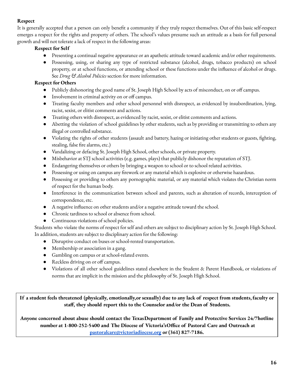### **Respect**

It is generally accepted that a person can only benefit a community if they truly respect themselves. Out of this basic self-respect emerges a respect for the rights and property of others. The school's values presume such an attitude as a basis for full personal growth and will not tolerate a lack of respect in the following areas:

### **Respect for Self**

- Presenting a continual negative appearance or an apathetic attitude toward academic and/or other requirements.
- Possessing, using, or sharing any type of restricted substance (alcohol, drugs, tobacco products) on school property, or at school functions, or attending school or these functions under the influence of alcohol or drugs. See *Drug & Alcohol Policies* section for more information.

# **Respect for Others**

- Publicly dishonoring the good name of St. Joseph High School by acts of misconduct, on or off campus.
- Involvement in criminal activity on or off campus.
- Treating faculty members and other school personnel with disrespect, as evidenced by insubordination, lying, racist, sexist, or elitist comments and actions.
- Treating others with disrespect, as evidenced by racist, sexist, or elitist comments and actions.
- Abetting the violation of school guidelines by other students, such as by providing or transmitting to others any illegal or controlled substance.
- Violating the rights of other students (assault and battery, hazing or initiating other students or guests, fighting, stealing, false fire alarms, etc.)
- Vandalizing or defacing St. Joseph High School, other schools, or private property.
- Misbehavior at STJ school activities (e.g. games, plays) that publicly dishonor the reputation of STJ.
- Endangering themselves or others by bringing a weapon to school or to school related activities.
- Possessing or using on campus any firework or any material which is explosive or otherwise hazardous.
- Possessing or providing to others any pornographic material, or any material which violates the Christian norm of respect for the human body.
- Interference in the communication between school and parents, such as alteration of records, interception of correspondence, etc.
- A negative influence on other students and/or a negative attitude toward the school.
- Chronic tardiness to school or absence from school.
- Continuous violations of school policies.

Students who violate the norms of respect for self and others are subject to disciplinary action by St. Joseph High School. In addition, students are subject to disciplinary action for the following:

- Disruptive conduct on buses or school-rented transportation.
- Membership or association in a gang.
- Gambling on campus or at school-related events.
- Reckless driving on or off campus.
- Violations of all other school guidelines stated elsewhere in the Student & Parent Handbook, or violations of norms that are implicit in the mission and the philosophy of St. Joseph High School.

If a student feels threatened (physically, emotionally, or sexually) due to any lack of respect from students, faculty or **staff, they should report this to the Counselor and/or the Dean of Students.**

**Anyone concerned about abuse should contact the TexasDepartment of Family and Protective Services 24/7hotline number at 1-800-252-5400 and The Diocese of Victoria'sOffice of Pastoral Care and Outreach at [pastoralcare@victoriadiocese.org](mailto:pastoralcare@victoriadiocese.org) or (361) 827-7186.**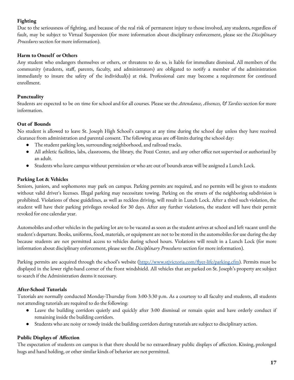# **Fighting**

Due to the seriousness of fighting, and because of the real risk of permanent injury to those involved, any students, regardless of fault, may be subject to Virtual Suspension (for more information about disciplinary enforcement, please see the *Disciplinary Procedures* section for more information).

### **Harm to Oneself or Others**

Any student who endangers themselves or others, or threatens to do so, is liable for immediate dismissal. All members of the community (students, staff, parents, faculty, and administrators) are obligated to notify a member of the administration immediately to insure the safety of the individual(s) at risk. Professional care may become a requirement for continued enrollment.

### **Punctuality**

Students are expected to be on time for school and for all courses. Please see the *Attendance, Absences, & Tardies* section for more information.

### **Out of Bounds**

No student is allowed to leave St. Joseph High School's campus at any time during the school day unless they have received clearance from administration and parental consent. The following areas are off-limits during the school day:

- The student parking lots, surrounding neighborhood, and railroad tracks.
- All athletic facilities, labs, classrooms, the library, the Pozzi Center, and any other office not supervised or authorized by an adult.
- Students who leave campus without permission or who are out of bounds areas will be assigned a Lunch Lock.

### **Parking Lot & Vehicles**

Seniors, juniors, and sophomores may park on campus. Parking permits are required, and no permits will be given to students without valid driver's licenses. Illegal parking may necessitate towing. Parking on the streets of the neighboring subdivision is prohibited. Violations of these guidelines, as well as reckless driving, will result in Lunch Lock. After a third such violation, the student will have their parking privileges revoked for 30 days. After any further violations, the student will have their permit revoked for one calendar year.

Automobiles and other vehicles in the parking lot are to be vacated as soon as the student arrives at school and left vacant until the student's departure. Books, uniforms, food, materials, or equipment are not to be stored in the automobiles for use during the day because students are not permitted access to vehicles during school hours. Violations will result in a Lunch Lock (for more information about disciplinary enforcement, please see the *Disciplinary Procedures* section for more information).

Parking permits are acquired through the school's website ([http://www.stjvictoria.com/flyer-life/parking.cfm\)](http://www.stjvictoria.com/flyer-life/parking.cfm). Permits must be displayed in the lower right-hand corner of the front windshield. All vehicles that are parked on St. Joseph's property are subject to search if the Administration deems it necessary.

#### **After-School Tutorials**

Tutorials are normally conducted Monday-Thursday from 3:00-3:30 p.m. As a courtesy to all faculty and students, all students not attending tutorials are required to do the following:

- Leave the building corridors quietly and quickly after 3:00 dismissal or remain quiet and have orderly conduct if remaining inside the building corridors.
- Students who are noisy or rowdy inside the building corridors during tutorials are subject to disciplinary action.

# **Public Displays of Affection**

The expectation of students on campus is that there should be no extraordinary public displays of affection. Kissing, prolonged hugs and hand holding, or other similar kinds of behavior are not permitted.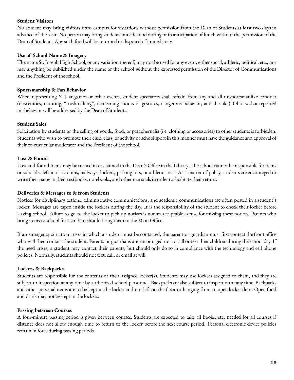#### **Student Visitors**

No student may bring visitors onto campus for visitations without permission from the Dean of Students at least two days in advance of the visit. No person may bring students outside food during or in anticipation of lunch without the permission of the Dean of Students. Any such food will be returned or disposed of immediately.

#### **Use of School Name & Imagery**

The name St. Joseph High School, or any variation thereof, may not be used for any event, either social, athletic, political, etc., nor may anything be published under the name of the school without the expressed permission of the Director of Communications and the President of the school.

#### **Sportsmanship & Fan Behavior**

When representing STJ at games or other events, student spectators shall refrain from any and all unsportsmanlike conduct (obscenities, taunting, "trash-talking", demeaning shouts or gestures, dangerous behavior, and the like). Observed or reported misbehavior will be addressed by the Dean of Students.

#### **Student Sales**

Solicitation by students or the selling of goods, food, or paraphernalia (i.e. clothing or accessories) to other students is forbidden. Students who wish to promote their club, class, or activity or school sport in this manner must have the guidance and approval of their co-curricular moderator and the President of the school.

#### **Lost & Found**

Lost and found items may be turned in or claimed in the Dean's Office in the Library. The school cannot be responsible for items or valuables left in classrooms, hallways, lockers, parking lots, or athletic areas. As a matter of policy, students are encouraged to write their name in their textbooks, notebooks, and other materials in order to facilitate their return.

#### **Deliveries & Messages to & from Students**

Notices for disciplinary actions, administrative communications, and academic communications are often posted in a student's locker. Messages are taped inside the lockers during the day. It is the responsibility of the student to check their locker before leaving school. Failure to go to the locker to pick up notices is not an acceptable excuse for missing these notices. Parents who bring items to school for a student should bring them to the Main Office.

If an emergency situation arises in which a student must be contacted, the parent or guardian must first contact the front office who will then contact the student. Parents or guardians are encouraged not to call or text their children during the school day. If the need arises, a student may contact their parents, but should only do so in compliance with the technology and cell phone policies. Normally, students should not text, call, or email at will.

#### **Lockers & Backpacks**

Students are responsible for the contents of their assigned locker(s). Students may use lockers assigned to them, and they are subject to inspection at any time by authorized school personnel. Backpacks are also subject to inspection at any time. Backpacks and other personal items are to be kept in the locker and not left on the floor or hanging from an open locker door. Open food and drink may not be kept in the lockers.

#### **Passing between Courses**

A four-minute passing period is given between courses. Students are expected to take all books, etc. needed for all courses if distance does not allow enough time to return to the locker before the next course period. Personal electronic device policies remain in force during passing periods.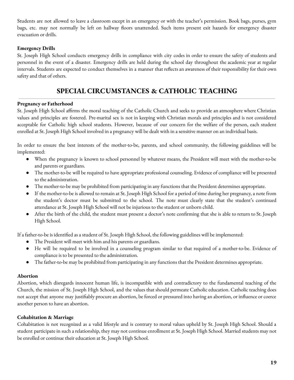Students are not allowed to leave a classroom except in an emergency or with the teacher's permission. Book bags, purses, gym bags, etc. may not normally be left on hallway floors unattended. Such items present exit hazards for emergency disaster evacuation or drills.

### **Emergency Drills**

St. Joseph High School conducts emergency drills in compliance with city codes in order to ensure the safety of students and personnel in the event of a disaster. Emergency drills are held during the school day throughout the academic year at regular intervals. Students are expected to conduct themselves in a manner that reflects an awareness of their responsibility for their own safety and that of others.

# **SPECIAL CIRCUMSTANCES & CATHOLIC TEACHING**

#### **Pregnancy or Fatherhood**

St. Joseph High School affirms the moral teaching of the Catholic Church and seeks to provide an atmosphere where Christian values and principles are fostered. Pre-marital sex is not in keeping with Christian morals and principles and is not considered acceptable for Catholic high school students. However, because of our concern for the welfare of the person, each student enrolled at St. Joseph High School involved in a pregnancy will be dealt with in a sensitive manner on an individual basis.

In order to ensure the best interests of the mother-to-be, parents, and school community, the following guidelines will be implemented:

- When the pregnancy is known to school personnel by whatever means, the President will meet with the mother-to-be and parents or guardians.
- The mother-to-be will be required to have appropriate professional counseling. Evidence of compliance will be presented to the administration.
- The mother-to-be may be prohibited from participating in any functions that the President determines appropriate.
- If the mother-to-be is allowed to remain at St. Joseph High School for a period of time during her pregnancy, a note from the student's doctor must be submitted to the school. The note must clearly state that the student's continued attendance at St. Joseph High School will not be injurious to the student or unborn child.
- After the birth of the child, the student must present a doctor's note confirming that she is able to return to St. Joseph High School.

If a father-to-be is identified as a student of St. Joseph High School, the following guidelines will be implemented:

- The President will meet with him and his parents or guardians.
- He will be required to be involved in a counseling program similar to that required of a mother-to-be. Evidence of compliance is to be presented to the administration.
- The father-to-be may be prohibited from participating in any functions that the President determines appropriate.

#### **Abortion**

Abortion, which disregards innocent human life, is incompatible with and contradictory to the fundamental teaching of the Church, the mission of St. Joseph High School, and the values that should permeate Catholic education. Catholic teaching does not accept that anyone may justifiably procure an abortion, be forced or pressured into having an abortion, or influence or coerce another person to have an abortion.

#### **Cohabitation & Marriage**

Cohabitation is not recognized as a valid lifestyle and is contrary to moral values upheld by St. Joseph High School. Should a student participate in such a relationship, they may not continue enrollment at St. Joseph High School. Married students may not be enrolled or continue their education at St. Joseph High School.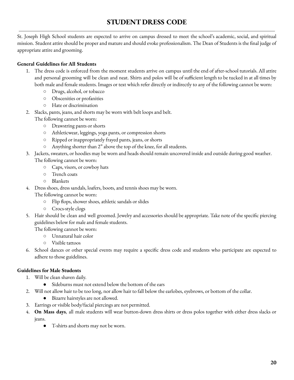# **STUDENT DRESS CODE**

St. Joseph High School students are expected to arrive on campus dressed to meet the school's academic, social, and spiritual mission. Student attire should be proper and mature and should evoke professionalism. The Dean of Students is the final judge of appropriate attire and grooming.

# **General Guidelines for All Students**

- 1. The dress code is enforced from the moment students arrive on campus until the end of after-school tutorials. All attire and personal grooming will be clean and neat. Shirts and polos will be of sufficient length to be tucked in at all times by both male and female students. Images or text which refer directly or indirectly to any of the following cannot be worn:
	- Drugs, alcohol, or tobacco
	- Obscenities or profanities
	- Hate or discrimination
- 2. Slacks, pants, jeans, and shorts may be worn with belt loops and belt.
	- The following cannot be worn:
		- Drawstring pants or shorts
		- Athleticwear, leggings, yoga pants, or compression shorts
		- Ripped or inappropriately frayed pants, jeans, or shorts
		- Anything shorter than 2" above the top of the knee, for all students.
- 3. Jackets, sweaters, or hoodies may be worn and heads should remain uncovered inside and outside during good weather. The following cannot be worn:
	- Caps, visors, or cowboy hats
	- Trench coats
	- Blankets
- 4. Dress shoes, dress sandals, loafers, boots, and tennis shoes may be worn.

The following cannot be worn:

- Flip flops, shower shoes, athletic sandals or slides
- Crocs-style clogs
- 5. Hair should be clean and well groomed. Jewelry and accessories should be appropriate. Take note of the specific piercing guidelines below for male and female students.

The following cannot be worn:

- Unnatural hair color
- Visible tattoos
- 6. School dances or other special events may require a specific dress code and students who participate are expected to adhere to those guidelines.

# **Guidelines for Male Students**

- 1. Will be clean shaven daily.
	- Sideburns must not extend below the bottom of the ears
- 2. Will not allow hair to be too long, nor allow hair to fall below the earlobes, eyebrows, or bottom of the collar.
	- Bizarre hairstyles are not allowed.
- 3. Earrings or visible body/facial piercings are not permitted.
- 4. **On Mass days**, all male students will wear button-down dress shirts or dress polos together with either dress slacks or jeans.
	- T-shirts and shorts may not be worn.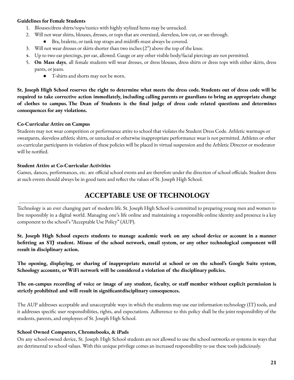#### **Guidelines for Female Students**

- 1. Blouses/dress shirts/tops/tunics with highly stylized hems may be untucked.
- 2. Will not wear shirts, blouses, dresses, or tops that are oversized, sleeveless, low cut, or see-through.
	- Bra, bralette, or tank top straps and midriffs must always be covered.
- 3. Will not wear dresses or skirts shorter than two inches (2") above the top of the knee.
- 4. Up to two ear piercings, per ear, allowed. Gauge or any other visible body/facial piercings are not permitted.
- 5. **On Mass days**, all female students will wear dresses, or dress blouses, dress shirts or dress tops with either skirts, dress pants, or jeans.
	- T-shirts and shorts may not be worn.

St. Joseph High School reserves the right to determine what meets the dress code. Students out of dress code will be required to take corrective action immediately, including calling parents or guardians to bring an appropriate change of clothes to campus. The Dean of Students is the final judge of dress code related questions and determines **consequences for any violations.**

#### **Co-Curricular Attire on Campus**

Students may not wear competition or performance attire to school that violates the Student Dress Code. Athletic warmups or sweatpants, sleeveless athletic shirts, or untucked or otherwise inappropriate performance wear is not permitted. Athletes or other co-curricular participants in violation of these policies will be placed in virtual suspension and the Athletic Director or moderator will be notified.

#### **Student Attire at Co-Curricular Activities**

Games, dances, performances, etc. are official school events and are therefore under the direction of school officials. Student dress at such events should always be in good taste and reflect the values of St. Joseph High School.

# **ACCEPTABLE USE OF TECHNOLOGY**

Technology is an ever changing part of modern life. St. Joseph High School is committed to preparing young men and women to live responsibly in a digital world. Managing one's life online and maintaining a responsible online identity and presence is a key component to the school's "Acceptable Use Policy" (AUP).

St. Joseph High School expects students to manage academic work on any school device or account in a manner befitting an STJ student. Misuse of the school network, email system, or any other technological component will **result in disciplinary action.**

The opening, displaying, or sharing of inappropriate material at school or on the school's Google Suite system, **Schoology accounts, or WiFi network will be considered a violation of the disciplinary policies.**

The on-campus recording of voice or image of any student, faculty, or staff member without explicit permission is **strictly prohibited and will result in significantdisciplinary consequences.**

The AUP addresses acceptable and unacceptable ways in which the students may use our information technology (IT) tools, and it addresses specific user responsibilities, rights, and expectations. Adherence to this policy shall be the joint responsibility of the students, parents, and employees of St. Joseph High School.

#### **School Owned Computers, Chromebooks, & iPads**

On any school-owned device, St. Joseph High School students are not allowed to use the school networks or systems in ways that are detrimental to school values. With this unique privilege comes an increased responsibility to use these tools judiciously.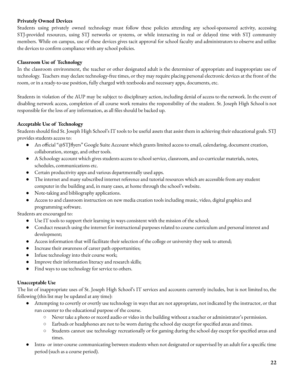### **Privately Owned Devices**

Students using privately owned technology must follow these policies attending any school-sponsored activity, accessing STJ-provided resources, using STJ networks or systems, or while interacting in real or delayed time with STJ community members. While on campus, use of these devices gives tacit approval for school faculty and administrators to observe and utilize the devices to confirm compliance with any school policies.

#### **Classroom Use of Technology**

In the classroom environment, the teacher or other designated adult is the determiner of appropriate and inappropriate use of technology. Teachers may declare technology-free times, or they may require placing personal electronic devices at the front of the room, or in a ready-to-use position, fully charged with textbooks and necessary apps, documents, etc.

Students in violation of the AUP may be subject to disciplinary action, including denial of access to the network. In the event of disabling network access, completion of all course work remains the responsibility of the student. St. Joseph High School is not responsible for the loss of any information, as all files should be backed up.

### **Acceptable Use of Technology**

Students should find St. Joseph High School's IT tools to be useful assets that assist them in achieving their educational goals. STJ provides students access to:

- An official "@STJflyers" Google Suite Account which grants limited access to email, calendaring, document creation, collaboration, storage, and other tools.
- A Schoology account which gives students access to school service, classroom, and co-curricular materials, notes, schedules, communications etc.
- Certain productivity apps and various departmentally used apps.
- The internet and many subscribed internet reference and tutorial resources which are accessible from any student computer in the building and, in many cases, at home through the school's website.
- Note-taking and bibliography applications.
- Access to and classroom instruction on new media creation tools including music, video, digital graphics and programming software.

Students are encouraged to:

- Use IT tools to support their learning in ways consistent with the mission of the school;
- Conduct research using the internet for instructional purposes related to course curriculum and personal interest and development;
- Access information that will facilitate their selection of the college or university they seek to attend;
- Increase their awareness of career path opportunities;
- Infuse technology into their course work;
- Improve their information literacy and research skills;
- Find ways to use technology for service to others.

#### **Unacceptable Use**

The list of inappropriate uses of St. Joseph High School's IT services and accounts currently includes, but is not limited to, the following (this list may be updated at any time):

- Attempting to covertly or overtly use technology in ways that are not appropriate, not indicated by the instructor, or that run counter to the educational purpose of the course.
	- Never take a photo or record audio or video in the building without a teacher or administrator's permission.
	- Earbuds or headphones are not to be worn during the school day except for specified areas and times.
	- Students cannot use technology recreationally or for gaming during the school day except for specified areas and times.
- Intra- or inter-course communicating between students when not designated or supervised by an adult for a specific time period (such as a course period).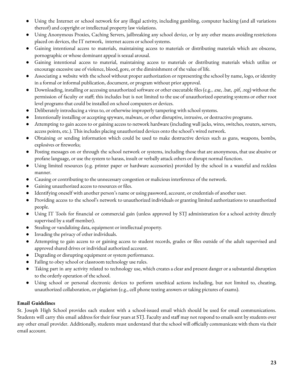- Using the Internet or school network for any illegal activity, including gambling, computer hacking (and all variations thereof) and copyright or intellectual property law violations.
- Using Anonymous Proxies, Caching Servers, jailbreaking any school device, or by any other means avoiding restrictions placed on devices, the IT network, internet access or school systems.
- Gaining intentional access to materials, maintaining access to materials or distributing materials which are obscene, pornographic or whose dominant appeal is sexual arousal.
- Gaining intentional access to material, maintaining access to materials or distributing materials which utilize or encourage excessive use of violence, blood, gore, or the diminishment of the value of life.
- Associating a website with the school without proper authorization or representing the school by name, logo, or identity in a formal or informal publication, document, or program without prior approval.
- Downloading, installing or accessing unauthorized software or other executable files (e.g., .exe, .bat, .pif, .reg) without the permission of faculty or staff; this includes but is not limited to the use of unauthorized operating systems or other root level programs that could be installed on school computers or devices.
- Deliberately introducing a virus to, or otherwise improperly tampering with school systems.
- Intentionally installing or accepting spyware, malware, or other disruptive, intrusive, or destructive programs.
- Attempting to gain access to or gaining access to network hardware (including wall jacks, wires, switches, routers, servers, access points, etc.). This includes placing unauthorized devices onto the school's wired network.
- Obtaining or sending information which could be used to make destructive devices such as guns, weapons, bombs, explosives or fireworks;
- Posting messages on or through the school network or systems, including those that are anonymous, that use abusive or profane language, or use the system to harass, insult or verbally attack others or disrupt normal function.
- Using limited resources (e.g. printer paper or hardware accessories) provided by the school in a wasteful and reckless manner.
- Causing or contributing to the unnecessary congestion or malicious interference of the network.
- Gaining unauthorized access to resources or files.
- Identifying oneself with another person's name or using password, account, or credentials of another user.
- Providing access to the school's network to unauthorized individuals or granting limited authorizations to unauthorized people.
- Using IT Tools for financial or commercial gain (unless approved by STJ administration for a school activity directly supervised by a staff member).
- Stealing or vandalizing data, equipment or intellectual property.
- Invading the privacy of other individuals.
- Attempting to gain access to or gaining access to student records, grades or files outside of the adult supervised and approved shared drives or individual authorized account.
- Degrading or disrupting equipment or system performance.
- Failing to obey school or classroom technology use rules.
- Taking part in any activity related to technology use, which creates a clear and present danger or a substantial disruption to the orderly operation of the school.
- Using school or personal electronic devices to perform unethical actions including, but not limited to, cheating, unauthorized collaboration, or plagiarism (e.g., cell phone texting answers or taking pictures of exams).

# **Email Guidelines**

St. Joseph High School provides each student with a school-issued email which should be used for email communications. Students will carry this email address for their four years at STJ. Faculty and staff may not respond to emails sent by students over any other email provider. Additionally, students must understand that the school will officially communicate with them via their email account.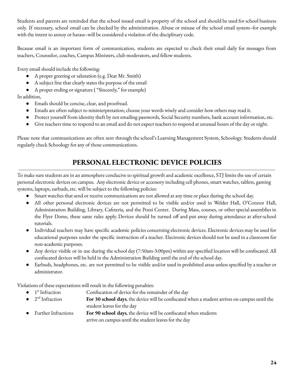Students and parents are reminded that the school issued email is property of the school and should be used for school business only. If necessary, school email can be checked by the administration. Abuse or misuse of the school email system--for example with the intent to annoy or harass--will be considered a violation of the disciplinary code.

Because email is an important form of communication, students are expected to check their email daily for messages from teachers, Counselor, coaches, Campus Ministers, club moderators, and fellow students.

Every email should include the following:

- A proper greeting or salutation (e.g. Dear Mr. Smith)
- A subject line that clearly states the purpose of the email
- A proper ending or signature ("Sincerely," for example)

In addition,

- Emails should be concise, clear, and proofread.
- Emails are often subject to misinterpretation; choose your words wisely and consider how others may read it.
- Protect yourself from identity theft by not emailing passwords, Social Security numbers, bank account information, etc.
- Give teachers time to respond to an email and do not expect teachers to respond at unusual hours of the day or night.

Please note that communications are often sent through the school's Learning Management System, Schoology. Students should regularly check Schoology for any of those communications.

# **PERSONAL ELECTRONIC DEVICE POLICIES**

To make sure students are in an atmosphere conducive to spiritual growth and academic excellence, STJ limits the use of certain personal electronic devices on campus. Any electronic device or accessory including cell phones, smart watches, tablets, gaming systems, laptops, earbuds, etc. will be subject to the following policies:

- Smart watches that send or receive communications are not allowed at any time or place during the school day.
- All other personal electronic devices are not permitted to be visible and/or used in Welder Hall, O'Connor Hall, Administration Building, Library, Cafeteria, and the Pozzi Center. During Mass, courses, or other special assemblies in the Flyer Dome, these same rules apply. Devices should be turned off and put away during attendance at after-school tutorials.
- Individual teachers may have specific academic policies concerning electronic devices. Electronic devices may be used for educational purposes under the specific instruction of a teacher. Electronic devices should not be used in a classroom for non-academic purposes.
- Any device visible or in use during the school day (7:50am-3:00pm) within any specified location will be confiscated. All confiscated devices will be held in the Administration Building until the end of the school day.
- Earbuds, headphones, etc. are not permitted to be visible and/or used in prohibited areas unless specified by a teacher or administrator.

Violations of these expectations will result in the following penalties:

- $\bullet$  1<sup>st</sup> Confiscation of device for the remainder of the day
- $\bullet$  2<sup>nd</sup> For 30 school days, the device will be confiscated when a student arrives on campus until the student leaves for the day
- Further Infractions **For 90 school days**, the device will be confiscated when students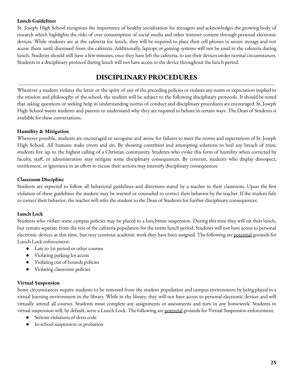#### **Lunch Guidelines**

St. Joseph High School recognizes the importance of healthy socialization for teenagers and acknowledges the growing body of research which highlights the risks of over consumption of social media and other internet content through personal electronic devices. While students are at the cafeteria for lunch, they will be required to place their cell phones in secure storage and not access them until dismissed from the cafeteria. Additionally, laptops or gaming systems will not be used in the cafeteria during lunch. Students should still have a few minutes, once they have left the cafeteria, to use their devices under normal circumstances. Students in a disciplinary protocol during lunch will not have access to the device throughout the lunch period.

# **DISCIPLINARYPROCEDURES**

Whenever a student violates the letter or the spirit of any of the preceding policies or violates any norm or expectation implied in the mission and philosophy of the school, the student will be subject to the following disciplinary protocols. It should be noted that asking questions or seeking help in understanding norms of conduct and disciplinary procedures are encouraged. St. Joseph High School wants students and parents to understand why they are required to behave in certain ways. The Dean of Students is available for these conversations.

#### **Humility & Mitigation**

Whenever possible, students are encouraged to recognize and atone for failures to meet the norms and expectations of St. Joseph High School. All humans make errors and sin. By showing contrition and attempting solutions to heal any breach of trust, students live up to the highest calling of a Christian community. Students who evoke this form of humility when corrected by faculty, staff, or administration may mitigate some disciplinary consequences. By contrast, students who display disrespect, entitlement, or ignorance in an effort to excuse their actions may intensify disciplinary consequences.

#### **Classroom Discipline**

Students are expected to follow all behavioral guidelines and directions stated by a teacher in their classroom. Upon the first violation of these guidelines the student may be warned or counseled to correct their behavior by the teacher. If the student fails to correct their behavior, the teacher will refer the student to the Dean of Students for further disciplinary consequences.

#### **Lunch Lock**

Students who violate some campus policies may be placed in a lunchtime suspension. During this time they will eat their lunch, but remain separate from the rest of the cafeteria population for the entire lunch period. Students will not have access to personal electronic devices at this time, but may continue academic work they have been assigned. The following are potential grounds for Lunch Lock enforcement:

- Late to 1st period or other courses
- Violating parking lot access
- Violating out of bounds policies
- Violating classroom policies

#### **Virtual Suspension**

Some circumstances require students to be removed from the student population and campus environment by being placed in a virtual learning environment in the library. While in the library, they will not have access to personal electronic devices and will virtually attend all courses. Students must complete any assignments or assessments and turn in any homework. Students in virtual suspension will, by default, serve a Lunch Lock. The following are <u>potential</u> grounds for Virtual Suspension enforcement:

- Serious violations of dress code
- In-school suspension or probation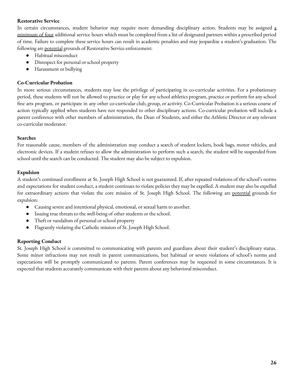### **Restorative Service**

In certain circumstances, student behavior may require more demanding disciplinary action. Students may be assigned a minimum of four additional service hours which must be completed from a list of designated partners within a prescribed period of time. Failure to complete these service hours can result in academic penalties and may jeopardize a student's graduation. The following are potential grounds of Restorative Service enforcement:

- Habitual misconduct
- Disrespect for personal or school property
- Harassment or bullying

#### **Co-Curricular Probation**

In more serious circumstances, students may lose the privilege of participating in co-curricular activities. For a probationary period, these students will not be allowed to practice or play for any school athletics program, practice or perform for any school fine arts program, or participate in any other co-curricular club, group, or activity. Co-Curricular Probation is a serious course of action typically applied when students have not responded to other disciplinary actions. Co-curricular probation will include a parent conference with other members of administration, the Dean of Students, and either the Athletic Director or any relevant co-curricular moderator.

#### **Searches**

For reasonable cause, members of the administration may conduct a search of student lockers, book bags, motor vehicles, and electronic devices. If a student refuses to allow the administration to perform such a search, the student will be suspended from school until the search can be conducted. The student may also be subject to expulsion.

#### **Expulsion**

A student's continued enrollment at St. Joseph High School is not guaranteed. If, after repeated violations of the school's norms and expectations for student conduct, a student continues to violate policies they may be expelled. A student may also be expelled for extraordinary actions that violate the core mission of St. Joseph High School. The following are potential grounds for expulsion:

- Causing severe and intentional physical, emotional, or sexual harm to another.
- Issuing true threats to the well-being of other students or the school.
- Theft or vandalism of personal or school property
- Flagrantly violating the Catholic mission of St. Joseph High School.

#### **Reporting Conduct**

St. Joseph High School is committed to communicating with parents and guardians about their student's disciplinary status. Some minor infractions may not result in parent communications, but habitual or severe violations of school's norms and expectations will be promptly communicated to parents. Parent conferences may be requested in some circumstances. It is expected that students accurately communicate with their parents about any behavioral misconduct.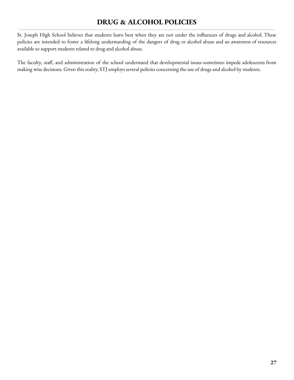# **DRUG & ALCOHOL POLICIES**

St. Joseph High School believes that students learn best when they are not under the influences of drugs and alcohol. These policies are intended to foster a lifelong understanding of the dangers of drug or alcohol abuse and an awareness of resources available to support students related to drug and alcohol abuse.

The faculty, staff, and administration of the school understand that developmental issues sometimes impede adolescents from making wise decisions. Given this reality, STJ employs several policies concerning the use of drugs and alcohol by students.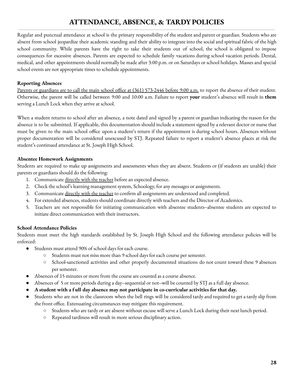# **ATTENDANCE, ABSENCE, & TARDYPOLICIES**

Regular and punctual attendance at school is the primary responsibility of the student and parent or guardian. Students who are absent from school jeopardize their academic standing and their ability to integrate into the social and spiritual fabric of the high school community. While parents have the right to take their students out of school, the school is obligated to impose consequences for excessive absences. Parents are expected to schedule family vacations during school vacation periods. Dental, medical, and other appointments should normally be made after 3:00 p.m. or on Saturdays or school holidays. Masses and special school events are not appropriate times to schedule appointments.

### **Reporting Absences**

Parents or guardians are to call the main school office at (361) 573-2446 before 9:00 a.m. to report the absence of their student. Otherwise, the parent will be called between 9:00 and 10:00 a.m. Failure to report **your** student's absence will result in **them** serving a Lunch Lock when they arrive at school.

When a student returns to school after an absence, a note dated and signed by a parent or guardian indicating the reason for the absence is to be submitted. If applicable, this documentation should include a statement signed by a relevant doctor or nurse that must be given to the main school office upon a student's return if the appointment is during school hours. Absences without proper documentation will be considered unexcused by STJ. Repeated failure to report a student's absence places at risk the student's continued attendance at St. Joseph High School.

### **Absentee Homework Assignments**

Students are required to make up assignments and assessments when they are absent. Students or (if students are unable) their parents or guardians should do the following:

- 1. Communicate directly with the teacher before an expected absence.
- 2. Check the school's learning management system, Schoology, for any messages or assignments.
- 3. Communicate directly with the teacher to confirm all assignments are understood and completed.
- 4. For extended absences, students should coordinate directly with teachers and the Director of Academics.
- 5. Teachers are not responsible for initiating communication with absentee students--absentee students are expected to initiate direct communication with their instructors.

# **School Attendance Policies**

Students must meet the high standards established by St. Joseph High School and the following attendance policies will be enforced:

- Students must attend 90% of school days for each course.
	- Students must not miss more than 9 school days for each course per semester.
	- School-sanctioned activities and other properly documented situations do not count toward these 9 absences per semester.
- Absences of 15 minutes or more from the course are counted as a course absence.
- Absences of 5 or more periods during a day--sequential or not--will be counted by STJ as a full day absence.
- **● A student with a f ull day absence may not participate in co-curricular activities for that day.**
- Students who are not in the classroom when the bell rings will be considered tardy and required to get a tardy slip from the front office. Extenuating circumstances may mitigate this requirement.
	- Students who are tardy or are absent without excuse will serve a Lunch Lock during their next lunch period.
	- Repeated tardiness will result in more serious disciplinary action.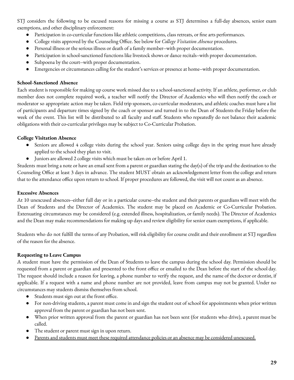STJ considers the following to be excused reasons for missing a course as STJ determines a full-day absences, senior exam exemptions, and other disciplinary enforcement:

- Participation in co-curricular functions like athletic competitions, class retreats, or fine arts performances.
- College visits approved by the Counseling Office. See below for *College Visitation Absence* procedures.
- Personal illness or the serious illness or death of a family member--with proper documentation.
- Participation in school-sanctioned functions like livestock shows or dance recitals--with proper documentation.
- Subpoena by the court--with proper documentation.
- Emergencies or circumstances calling for the student's services or presence at home--with proper documentation.

#### **School-Sanctioned Absence**

Each student is responsible for making up course work missed due to a school-sanctioned activity. If an athlete, performer, or club member does not complete required work, a teacher will notify the Director of Academics who will then notify the coach or moderator so appropriate action may be taken. Field trip sponsors, co-curricular moderators, and athletic coaches must have a list of participants and departure times signed by the coach or sponsor and turned in to the Dean of Students the Friday before the week of the event. This list will be distributed to all faculty and staff. Students who repeatedly do not balance their academic obligations with their co-curricular privileges may be subject to Co-Curricular Probation.

#### **College Visitation Absence**

- Seniors are allowed 4 college visits during the school year. Seniors using college days in the spring must have already applied to the school they plan to visit.
- Juniors are allowed 2 college visits which must be taken on or before April 1.

Students must bring a note or have an email sent from a parent or guardian stating the day(s) of the trip and the destination to the Counseling Office at least 3 days in advance. The student MUST obtain an acknowledgement letter from the college and return that to the attendance office upon return to school. If proper procedures are followed, the visit will not count as an absence.

#### **Excessive Absences**

At 10 unexcused absences--either full day or in a particular course--the student and their parents or guardians will meet with the Dean of Students and the Director of Academics. The student may be placed on Academic or Co-Curricular Probation. Extenuating circumstances may be considered (e.g. extended illness, hospitalization, or family needs). The Director of Academics and the Dean may make recommendations for making up days and review eligibility for senior exam exemptions, if applicable.

Students who do not fulfill the terms of any Probation, will risk eligibility for course credit and their enrollment at STJ regardless of the reason for the absence.

#### **Requesting to Leave Campus**

A student must have the permission of the Dean of Students to leave the campus during the school day. Permission should be requested from a parent or guardian and presented to the front office or emailed to the Dean before the start of the school day. The request should include a reason for leaving, a phone number to verify the request, and the name of the doctor or dentist, if applicable. If a request with a name and phone number are not provided, leave from campus may not be granted. Under no circumstances may students dismiss themselves from school.

- Students must sign out at the front office.
- For non-driving students, a parent must come in and sign the student out of school for appointments when prior written approval from the parent or guardian has not been sent.
- When prior written approval from the parent or guardian has not been sent (for students who drive), a parent must be called.
- The student or parent must sign in upon return.
- Parents and students must meet these required attendance policies or an absence may be considered unexcused.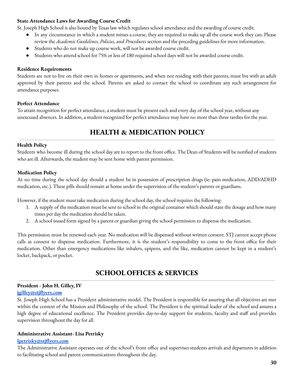#### **State Attendance Laws for Awarding Course Credit**

St. Joseph High School is also bound by Texas law which regulates school attendance and the awarding of course credit.

- In any circumstance in which a student misses a course, they are required to make up all the course work they can. Please review the *Academic Guidelines, Policies, and Procedures* section and the preceding guidelines for more information.
- Students who do not make up course work, will not be awarded course credit.
- Students who attend school for 75% or less of 180 required school days will not be awarded course credit.

#### **Residence Requirements**

Students are not to live on their own in homes or apartments, and when not residing with their parents, must live with an adult approved by their parents and the school. Parents are asked to contact the school to coordinate any such arrangement for attendance purposes.

#### **Perfect Attendance**

To attain recognition for perfect attendance, a student must be present each and every day of the school year, without any unexcused absences. In addition, a student recognized for perfect attendance may have no more than three tardies for the year.

# **HEALTH & MEDICATION POLICY**

#### **Health Policy**

Students who become ill during the school day are to report to the front office. The Dean of Students will be notified of students who are ill. Afterwards, the student may be sent home with parent permission.

#### **Medication Policy**

At no time during the school day should a student be in possession of prescription drugs (ie: pain medication, ADD/ADHD medication, etc.). These pills should remain at home under the supervision of the student's parents or guardians.

However, if the student must take medication during the school day, the school requires the following:

- 1. A supply of the medication must be sent to school in the original container which should state the dosage and how many times per day the medication should be taken.
- 2. A school issued form signed by a parent or guardian giving the school permission to dispense the medication.

This permission must be renewed each year. No medication will be dispensed without written consent. STJ cannot accept phone calls as consent to dispense medication. Furthermore, it is the student's responsibility to come to the front office for their medication. Other than emergency medications like inhalers, epipens, and the like, medication cannot be kept in a student's locker, backpack, or pocket.

# **SCHOOL OFFICES & SERVICES**

#### **President - John H. Gilley, IV**

#### **[jgilley@stjflyers.com](mailto:jgilley@stjflyers.com)**

St. Joseph High School has a President administrative model. The President is responsible for assuring that all objectives are met within the context of the Mission and Philosophy of the school. The President is the spiritual leader of the school and assures a high degree of educational excellence. The President provides day-to-day support for students, faculty and staff and provides supervision throughout the day for all.

#### **Administrative Assistant- Lisa Petrisky**

#### **[lpetrisky@stjflyers.com](mailto:lpetrisky@stjflyers.com)**

The Administrative Assistant operates out of the school's front office and supervises students arrivals and departures in addition to facilitating school and parent communications throughout the day.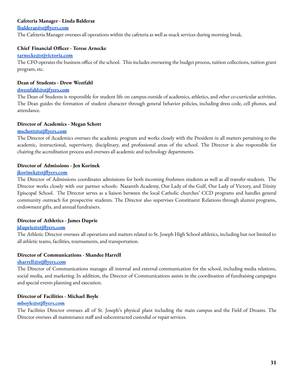#### **Cafeteria Manager - Linda Balderaz**

#### **[lbalderaz@stjflyers.com](mailto:lbalderaz@stjflyers.com)**

The Cafeteria Manager oversees all operations within the cafeteria as well as snack services during morning break.

#### **Chief Financial Officer - Terese Arnecke**

#### **[tarnecke@stjvictoria.com](mailto:tarnecke@stjvictoria.com)**

The CFO operates the business office of the school. This includes overseeing the budget process, tuition collections, tuition grant program, etc.

#### **Dean of Students - Drew Westfahl**

#### **[dwestfahl@stjfyers.com](mailto:dwestfahl@stjfyers.com)**

The Dean of Students is responsible for student life on campus outside of academics, athletics, and other co-curricular activities. The Dean guides the formation of student character through general behavior policies, including dress code, cell phones, and attendance.

#### **Director of Academics - Megan Schott**

#### **[mschott@stjflyers.com](mailto:mschott@stjflyers.com)**

The Director of Academics oversees the academic program and works closely with the President in all matters pertaining to the academic, instructional, supervisory, disciplinary, and professional areas of the school. The Director is also responsible for chairing the accreditation process and oversees all academic and technology departments.

#### **Director of Admissions - Jen Korinek**

#### **[jkorinek@stjflyers.com](mailto:jkorinek@stjflyers.com)**

The Director of Admissions coordinates admissions for both incoming freshmen students as well as all transfer students. The Director works closely with our partner schools: Nazareth Academy, Our Lady of the Gulf, Our Lady of Victory, and Trinity Episcopal School. The Director serves as a liaison between the local Catholic churches' CCD programs and handles general community outreach for prospective students. The Director also supervises Constituent Relations through alumni programs, endowment gifts, and annual fundraisers.

#### **Director of Athletics - James Duprie**

#### **[jduprie@stjflyers.com](mailto:jduprie@stjflyers.com)**

The Athletic Director oversees all operations and matters related to St. Joseph High School athletics, including but not limited to all athletic teams, facilities, tournaments, and transportation.

#### **Director of Communications - Shandee Harrell**

#### **[sharrell@stjflyers.com](mailto:sharrell@stjflyers.com)**

The Director of Communications manages all internal and external communication for the school, including media relations, social media, and marketing. In addition, the Director of Communications assists in the coordination of fundraising campaigns and special events planning and execution.

#### **Director of Facilities - Michael Boyle**

#### **[mboyle@stjflyers.com](mailto:mboyle@stjflyers.com)**

The Facilities Director oversees all of St. Joseph's physical plant including the main campus and the Field of Dreams. The Director oversees all maintenance staff and subcontracted custodial or repair services.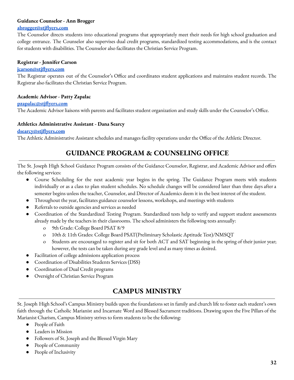#### **Guidance Counselor - Ann Brogger**

#### **[abrogger@stjflyers.com](mailto:abrogger@stjflyers.com)**

The Counselor directs students into educational programs that appropriately meet their needs for high school graduation and college entrance. The Counselor also supervises dual credit programs, standardized testing accommodations, and is the contact for students with disabilities. The Counselor also facilitates the Christian Service Program.

#### **Registrar - Jennifer Carson**

#### **[jcarson@stjflyers.com](mailto:jcarson@stjflyers.com)**

The Registrar operates out of the Counselor's Office and coordinates student applications and maintains student records. The Registrar also facilitates the Christian Service Program.

#### **Academic Advisor - Patty Zapalac**

#### **[pzapalac@stjflyers.com](mailto:pzapalac@stjflyers.com)**

The Academic Advisor liaisons with parents and facilitates student organization and study skills under the Counselor's Office.

#### **Athletics Administrative Assistant - Dana Searcy**

#### **[dsearcy@stjflyers.com](mailto:dsearcy@stjflyers.com)**

The Athletic Administrative Assistant schedules and manages facility operations under the Office of the Athletic Director.

# **GUIDANCE PROGRAM & COUNSELING OFFICE**

The St. Joseph High School Guidance Program consists of the Guidance Counselor, Registrar, and Academic Advisor and offers the following services:

- Course Scheduling for the next academic year begins in the spring. The Guidance Program meets with students individually or as a class to plan student schedules. No schedule changes will be considered later than three days after a semester begins unless the teacher, Counselor, and Director of Academics deem it in the best interest of the student.
- Throughout the year, facilitates guidance counselor lessons, workshops, and meetings with students
- Referrals to outside agencies and services as needed
- Coordination of the Standardized Testing Program. Standardized tests help to verify and support student assessments already made by the teachers in their classrooms. The school administers the following tests annually:
	- o 9th Grade: College Board PSAT 8/9
	- o 10th & 11th Grades: College Board PSAT(Preliminary Scholastic Aptitude Test)/NMSQT
	- o Students are encouraged to register and sit for both ACT and SAT beginning in the spring of their junior year; however, the tests can be taken during any grade level and as many times as desired.
- Facilitation of college admissions application process
- Coordination of Disabilities Students Services (DSS)
- Coordination of Dual Credit programs
- Oversight of Christian Service Program

# **CAMPUS MINISTRY**

St. Joseph High School's Campus Ministry builds upon the foundations set in family and church life to foster each student's own faith through the Catholic Marianist and Incarnate Word and Blessed Sacrament traditions. Drawing upon the Five Pillars of the Marianist Charism, Campus Ministry strives to form students to be the following:

- People of Faith
- Leaders in Mission
- Followers of St. Joseph and the Blessed Virgin Mary
- People of Community
- People of Inclusivity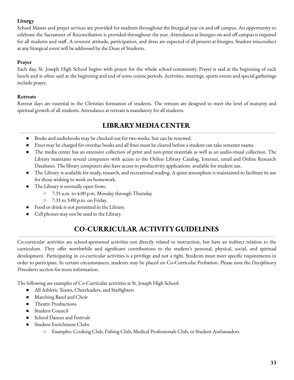# **Liturgy**

School Masses and prayer services are provided for students throughout the liturgical year on and off campus. An opportunity to celebrate the Sacrament of Reconciliation is provided throughout the year. Attendance at liturgies on and off campus is required for all students and staff. A reverent attitude, participation, and dress are expected of all present at liturgies. Student misconduct at any liturgical event will be addressed by the Dean of Students.

### **Prayer**

Each day, St. Joseph High School begins with prayer for the whole school community. Prayer is said at the beginning of each lunch and is often said at the beginning and end of some course periods. Activities, meetings, sports events and special gatherings include prayer.

### **Retreats**

Retreat days are essential in the Christian formation of students. The retreats are designed to meet the level of maturity and spiritual growth of all students. Attendance at retreats is mandatory for all students.

# **LIBRARY MEDIA CENTER**

- Books and audiobooks may be checked out for two weeks, but can be renewed.
- Fines may be charged for overdue books and all fines must be cleared before a student can take semester exams.
- The media center has an extensive collection of print and non-print materials as well as an audio-visual collection. The Library maintains several computers with access to the Online Library Catalog, Internet, email and Online Research Databases. The library computers also have access to productivity applications available for student use.
- The Library is available for study, research, and recreational reading. A quiet atmosphere is maintained to facilitate its use for those wishing to work on homework.
- The Library is normally open from:
	- 7:35 a.m. to 4:00 p.m. Monday through Thursday
	- 7:35 to 3:00 p.m. on Friday.
- Food or drink is not permitted in the Library.
- Cell phones may not be used in the Library.

# **CO-CURRICULAR ACTIVITY GUIDELINES**

Co-curricular activities are school-sponsored activities not directly related to instruction, but have an indirect relation to the curriculum. They offer worthwhile and significant contributions to the student's personal, physical, social, and spiritual development. Participating in co-curricular activities is a privilege and not a right. Students must meet specific requirements in order to participate. In certain circumstances, students may be placed on Co-Curricular Probation. Please note the *Disciplinary Procedures* section for more information.

The following are examples of Co-Curricular activities at St. Joseph High School:

- All Athletic Teams, Cheerleaders, and Starlighters
- Marching Band and Choir
- Theatre Productions
- Student Council
- School Dances and Festivals
- Student Enrichment Clubs
	- Examples: Cooking Club, Fishing Club, Medical Professionals Club, or Student Ambassadors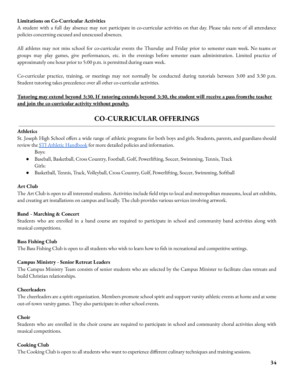### **Limitations on Co-Curricular Activities**

A student with a full day absence may not participate in co-curricular activities on that day. Please take note of all attendance policies concerning excused and unexcused absences.

All athletes may not miss school for co-curricular events the Thursday and Friday prior to semester exam week. No teams or groups may play games, give performances, etc. in the evenings before semester exam administration. Limited practice of approximately one hour prior to 5:00 p.m. is permitted during exam week.

Co-curricular practice, training, or meetings may not normally be conducted during tutorials between 3:00 and 3:30 p.m. Student tutoring takes precedence over all other co-curricular activities.

### Tutoring may extend beyond 3:30. If tutoring extends beyond 3:30, the student will receive a pass from the teacher **and join the co-curricular activity without penalty.**

# **CO-CURRICULAR OFFERINGS**

#### **Athletics**

St. Joseph High School offers a wide range of athletic programs for both boys and girls. Students, parents, and guardians should review the **STJ** Athletic [Handbook](http://www.stjvictoria.com/editoruploads/files/2020_STJ_Athletic_Handbook.pdf) for more detailed policies and information.

- Boys:
- Baseball, Basketball, Cross Country, Football, Golf, Powerlifting, Soccer, Swimming, Tennis, Track Girls:
- Basketball, Tennis, Track, Volleyball, Cross Country, Golf, Powerlifting, Soccer, Swimming, Softball

#### **Art Club**

The Art Club is open to all interested students. Activities include field trips to local and metropolitan museums, local art exhibits, and creating art installations on campus and locally. The club provides various services involving artwork.

#### **Band - Marching & Concert**

Students who are enrolled in a band course are required to participate in school and community band activities along with musical competitions.

#### **Bass Fishing Club**

The Bass Fishing Club is open to all students who wish to learn how to fish in recreational and competitive settings.

#### **Campus Ministry - Senior Retreat Leaders**

The Campus Ministry Team consists of senior students who are selected by the Campus Minister to facilitate class retreats and build Christian relationships.

#### **Cheerleaders**

The cheerleaders are a spirit organization. Members promote school spirit and support varsity athletic events at home and at some out-of-town varsity games. They also participate in other school events.

#### **Choir**

Students who are enrolled in the choir course are required to participate in school and community choral activities along with musical competitions.

#### **Cooking Club**

The Cooking Club is open to all students who want to experience different culinary techniques and training sessions.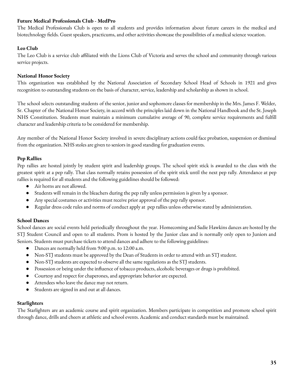### **Future Medical Professionals Club - MedPro**

The Medical Professionals Club is open to all students and provides information about future careers in the medical and biotechnology fields. Guest speakers, practicums, and other activities showcase the possibilities of a medical science vocation.

### **Leo Club**

The Leo Club is a service club affiliated with the Lions Club of Victoria and serves the school and community through various service projects.

#### **National Honor Society**

This organization was established by the National Association of Secondary School Head of Schools in 1921 and gives recognition to outstanding students on the basis of character, service, leadership and scholarship as shown in school.

The school selects outstanding students of the senior, junior and sophomore classes for membership in the Mrs. James F. Welder, Sr. Chapter of the National Honor Society, in accord with the principles laid down in the National Handbook and the St. Joseph NHS Constitution. Students must maintain a minimum cumulative average of 90, complete service requirements and fulfill character and leadership criteria to be considered for membership.

Any member of the National Honor Society involved in severe disciplinary actions could face probation, suspension or dismissal from the organization. NHS stoles are given to seniors in good standing for graduation events.

### **Pep Rallies**

Pep rallies are hosted jointly by student spirit and leadership groups. The school spirit stick is awarded to the class with the greatest spirit at a pep rally. That class normally retains possession of the spirit stick until the next pep rally. Attendance at pep rallies is required for all students and the following guidelines should be followed:

- Air horns are not allowed.
- Students will remain in the bleachers during the pep rally unless permission is given by a sponsor.
- Any special costumes or activities must receive prior approval of the pep rally sponsor.
- Regular dress code rules and norms of conduct apply at pep rallies unless otherwise stated by administration.

#### **School Dances**

School dances are social events held periodically throughout the year. Homecoming and Sadie Hawkins dances are hosted by the STJ Student Council and open to all students. Prom is hosted by the Junior class and is normally only open to Juniors and Seniors. Students must purchase tickets to attend dances and adhere to the following guidelines:

- Dances are normally held from 9:00 p.m. to 12:00 a.m.
- Non-STJ students must be approved by the Dean of Students in order to attend with an STJ student.
- Non-STJ students are expected to observe all the same regulations as the STJ students.
- Possession or being under the influence of tobacco products, alcoholic beverages or drugs is prohibited.
- Courtesy and respect for chaperones, and appropriate behavior are expected.
- Attendees who leave the dance may not return.
- Students are signed in and out at all dances.

#### **Starlighters**

The Starlighters are an academic course and spirit organization. Members participate in competition and promote school spirit through dance, drills and cheers at athletic and school events. Academic and conduct standards must be maintained.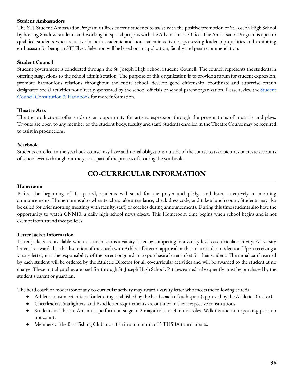#### **Student Ambassadors**

The STJ Student Ambassador Program utilizes current students to assist with the positive promotion of St. Joseph High School by hosting Shadow Students and working on special projects with the Advancement Office. The Ambassador Program is open to qualified students who are active in both academic and nonacademic activities, possessing leadership qualities and exhibiting enthusiasm for being an STJ Flyer. Selection will be based on an application, faculty and peer recommendation.

#### **Student Council**

Student government is conducted through the St. Joseph High School Student Council. The council represents the students in offering suggestions to the school administration. The purpose of this organization is to provide a forum for student expression, promote harmonious relations throughout the entire school, develop good citizenship, coordinate and supervise certain designated social activities not directly sponsored by the school officials or school parent organization. Please review the [Student](http://www.stjvictoria.com/flyer-life/stuck.cfm) Council [Constitution](http://www.stjvictoria.com/flyer-life/stuck.cfm) & Handbook for more information.

#### **Theatre Arts**

Theatre productions offer students an opportunity for artistic expression through the presentations of musicals and plays. Tryouts are open to any member of the student body, faculty and staff. Students enrolled in the Theatre Course may be required to assist in productions.

#### **Yearbook**

Students enrolled in the yearbook course may have additional obligations outside of the course to take pictures or create accounts of school events throughout the year as part of the process of creating the yearbook.

# **CO-CURRICULAR INFORMATION**

#### **Homeroom**

Before the beginning of 1st period, students will stand for the prayer and pledge and listen attentively to morning announcements. Homeroom is also when teachers take attendance, check dress code, and take a lunch count. Students may also be called for brief morning meetings with faculty, staff, or coaches during announcements. During this time students also have the opportunity to watch CNN10, a daily high school news digest. This Homeroom time begins when school begins and is not exempt from attendance policies.

#### **Letter Jacket Information**

Letter jackets are available when a student earns a varsity letter by competing in a varsity level co-curricular activity. All varsity letters are awarded at the discretion of the coach with Athletic Director approval or the co-curricular moderator. Upon receiving a varsity letter, it is the responsibility of the parent or guardian to purchase a letter jacket for their student. The initial patch earned by each student will be ordered by the Athletic Director for all co-curricular activities and will be awarded to the student at no charge. These initial patches are paid for through St. Joseph High School. Patches earned subsequently must be purchased by the student's parent or guardian.

The head coach or moderator of any co-curricular activity may award a varsity letter who meets the following criteria:

- Athletes must meet criteria for lettering established by the head coach of each sport (approved by the Athletic Director).
- Cheerleaders, Starlighters, and Band letter requirements are outlined in their respective constitutions.
- Students in Theatre Arts must perform on stage in 2 major roles or 3 minor roles. Walk-ins and non-speaking parts do not count.
- Members of the Bass Fishing Club must fish in a minimum of 3 THSBA tournaments.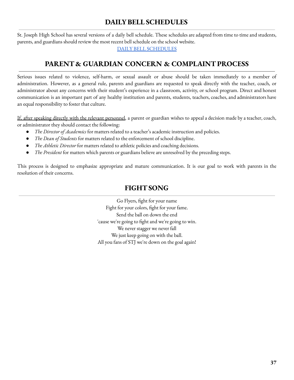# **DAILYBELL SCHEDULES**

St. Joseph High School has several versions of a daily bell schedule. These schedules are adapted from time to time and students, parents, and guardians should review the most recent bell schedule on the school website.

DAILY BELL [SCHEDULES](http://www.stjvictoria.com/editoruploads/files/2021-2022_Bell_Schedules.pdf)

# **PARENT & GUARDIAN CONCERN & COMPLAINTPROCESS**

Serious issues related to violence, self-harm, or sexual assault or abuse should be taken immediately to a member of administration. However, as a general rule, parents and guardians are requested to speak directly with the teacher, coach, or administrator about any concerns with their student's experience in a classroom, activity, or school program. Direct and honest communication is an important part of any healthy institution and parents, students, teachers, coaches, and administrators have an equal responsibility to foster that culture.

If, after speaking directly with the relevant personnel, a parent or guardian wishes to appeal a decision made by a teacher, coach, or administrator they should contact the following:

- *The Director of Academics* for matters related to a teacher's academic instruction and policies.
- *The Dean of Students* for matters related to the enforcement of school discipline.
- *The Athletic Director* for matters related to athletic policies and coaching decisions.
- *The President* for matters which parents or guardians believe are unresolved by the preceding steps.

This process is designed to emphasize appropriate and mature communication. It is our goal to work with parents in the resolution of their concerns.

# **FIGHTSONG**

Go Flyers, fight for your name Fight for your colors, fight for your fame. Send the ball on down the end 'cause we're going to fight and we're going to win. We never stagger we never fall We just keep going on with the ball. All you fans of STJ we're down on the goal again!